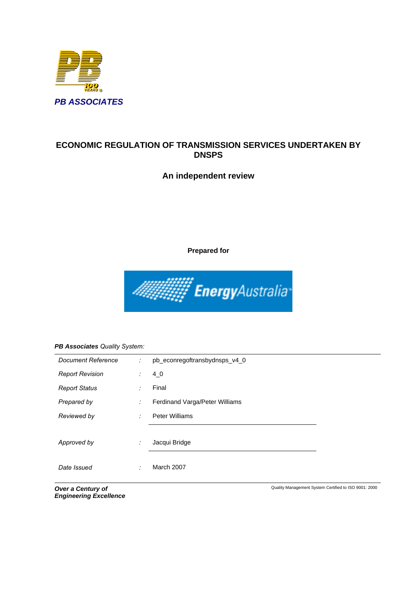

# **ECONOMIC REGULATION OF TRANSMISSION SERVICES UNDERTAKEN BY DNSPS**

# **An independent review**

**Prepared for** 



## *PB Associates Quality System:*

| Document Reference     | ÷ | pb_econregoftransbydnsps_v4_0  |  |  |
|------------------------|---|--------------------------------|--|--|
| <b>Report Revision</b> | ÷ | 4 <sub>0</sub>                 |  |  |
| <b>Report Status</b>   | ÷ | Final                          |  |  |
| Prepared by            | ÷ | Ferdinand Varga/Peter Williams |  |  |
| Reviewed by            | ÷ | <b>Peter Williams</b>          |  |  |
|                        |   |                                |  |  |
| Approved by            | ÷ | Jacqui Bridge                  |  |  |
|                        |   |                                |  |  |
| Date Issued            | ٠ | March 2007                     |  |  |

*Over a Century of Engineering Excellence* Quality Management System Certified to ISO 9001: 2000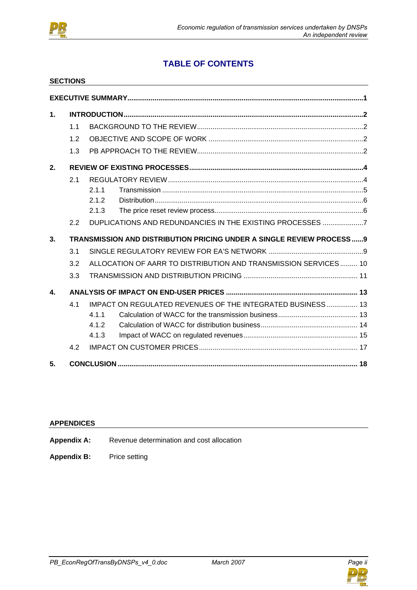

# **TABLE OF CONTENTS**

|                | <b>SECTIONS</b> |       |                                                                      |  |
|----------------|-----------------|-------|----------------------------------------------------------------------|--|
|                |                 |       |                                                                      |  |
| $\mathbf 1$ .  |                 |       |                                                                      |  |
|                | 1.1             |       |                                                                      |  |
|                | 1.2             |       |                                                                      |  |
|                | 1.3             |       |                                                                      |  |
| 2.             |                 |       |                                                                      |  |
|                | 2.1             |       |                                                                      |  |
|                |                 | 2.1.1 |                                                                      |  |
|                |                 | 2.1.2 |                                                                      |  |
|                |                 | 2.1.3 |                                                                      |  |
|                | 2.2             |       | DUPLICATIONS AND REDUNDANCIES IN THE EXISTING PROCESSES 7            |  |
| 3 <sub>1</sub> |                 |       | TRANSMISSION AND DISTRIBUTION PRICING UNDER A SINGLE REVIEW PROCESS9 |  |
|                | 3.1             |       |                                                                      |  |
|                | 3.2             |       | ALLOCATION OF AARR TO DISTRIBUTION AND TRANSMISSION SERVICES 10      |  |
|                | 3.3             |       |                                                                      |  |
| 4.             |                 |       |                                                                      |  |
|                | 4.1             |       | <b>IMPACT ON REGULATED REVENUES OF THE INTEGRATED BUSINESS  13</b>   |  |
|                |                 | 4.1.1 |                                                                      |  |
|                |                 | 4.1.2 |                                                                      |  |
|                |                 | 4.1.3 |                                                                      |  |
|                | 4.2             |       |                                                                      |  |
| 5.             |                 |       |                                                                      |  |

## **APPENDICES**

- Appendix A: Revenue determination and cost allocation
- **Appendix B:** Price setting

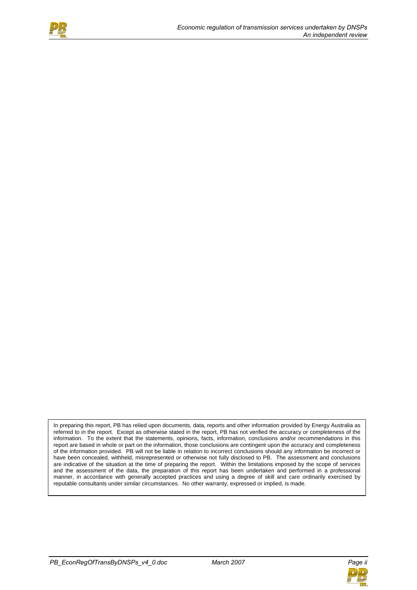

In preparing this report, PB has relied upon documents, data, reports and other information provided by Energy Australia as referred to in the report. Except as otherwise stated in the report, PB has not verified the accuracy or completeness of the information. To the extent that the statements, opinions, facts, information, conclusions and/or recommendations in this report are based in whole or part on the information, those conclusions are contingent upon the accuracy and completeness of the information provided. PB will not be liable in relation to incorrect conclusions should any information be incorrect or have been concealed, withheld, misrepresented or otherwise not fully disclosed to PB. The assessment and conclusions are indicative of the situation at the time of preparing the report. Within the limitations imposed by the scope of services and the assessment of the data, the preparation of this report has been undertaken and performed in a professional manner, in accordance with generally accepted practices and using a degree of skill and care ordinarily exercised by reputable consultants under similar circumstances. No other warranty, expressed or implied, is made.

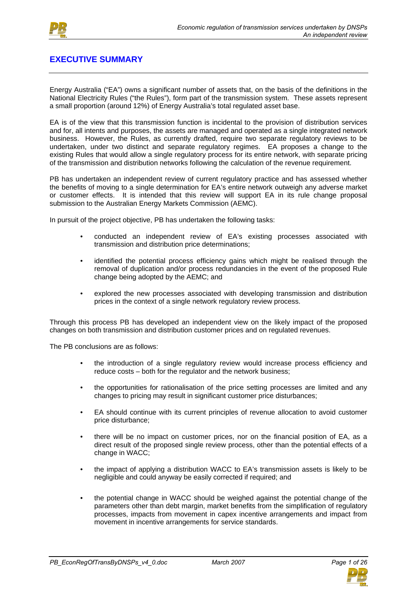

# **EXECUTIVE SUMMARY**

Energy Australia ("EA") owns a significant number of assets that, on the basis of the definitions in the National Electricity Rules ("the Rules"), form part of the transmission system. These assets represent a small proportion (around 12%) of Energy Australia's total regulated asset base.

EA is of the view that this transmission function is incidental to the provision of distribution services and for, all intents and purposes, the assets are managed and operated as a single integrated network business. However, the Rules, as currently drafted, require two separate regulatory reviews to be undertaken, under two distinct and separate regulatory regimes. EA proposes a change to the existing Rules that would allow a single regulatory process for its entire network, with separate pricing of the transmission and distribution networks following the calculation of the revenue requirement.

PB has undertaken an independent review of current regulatory practice and has assessed whether the benefits of moving to a single determination for EA's entire network outweigh any adverse market or customer effects. It is intended that this review will support EA in its rule change proposal submission to the Australian Energy Markets Commission (AEMC).

In pursuit of the project objective, PB has undertaken the following tasks:

- conducted an independent review of EA's existing processes associated with transmission and distribution price determinations;
- identified the potential process efficiency gains which might be realised through the removal of duplication and/or process redundancies in the event of the proposed Rule change being adopted by the AEMC; and
- explored the new processes associated with developing transmission and distribution prices in the context of a single network regulatory review process.

Through this process PB has developed an independent view on the likely impact of the proposed changes on both transmission and distribution customer prices and on regulated revenues.

The PB conclusions are as follows:

- the introduction of a single regulatory review would increase process efficiency and reduce costs – both for the regulator and the network business;
- the opportunities for rationalisation of the price setting processes are limited and any changes to pricing may result in significant customer price disturbances;
- EA should continue with its current principles of revenue allocation to avoid customer price disturbance;
- there will be no impact on customer prices, nor on the financial position of EA, as a direct result of the proposed single review process, other than the potential effects of a change in WACC;
- the impact of applying a distribution WACC to EA's transmission assets is likely to be negligible and could anyway be easily corrected if required; and
- the potential change in WACC should be weighed against the potential change of the parameters other than debt margin, market benefits from the simplification of regulatory processes, impacts from movement in capex incentive arrangements and impact from movement in incentive arrangements for service standards.

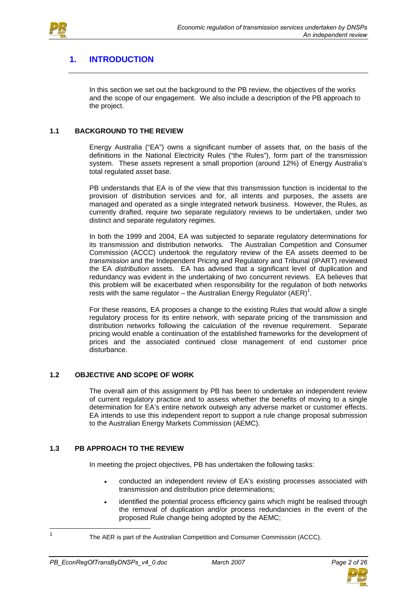

# **1. INTRODUCTION**

In this section we set out the background to the PB review, the objectives of the works and the scope of our engagement. We also include a description of the PB approach to the project.

## **1.1 BACKGROUND TO THE REVIEW**

Energy Australia ("EA") owns a significant number of assets that, on the basis of the definitions in the National Electricity Rules ("the Rules"), form part of the transmission system. These assets represent a small proportion (around 12%) of Energy Australia's total regulated asset base.

PB understands that EA is of the view that this transmission function is incidental to the provision of distribution services and for, all intents and purposes, the assets are managed and operated as a single integrated network business. However, the Rules, as currently drafted, require two separate regulatory reviews to be undertaken, under two distinct and separate regulatory regimes.

In both the 1999 and 2004, EA was subjected to separate regulatory determinations for its transmission and distribution networks. The Australian Competition and Consumer Commission (ACCC) undertook the regulatory review of the EA assets deemed to be *transmission* and the Independent Pricing and Regulatory and Tribunal (IPART) reviewed the EA *distribution* assets. EA has advised that a significant level of duplication and redundancy was evident in the undertaking of two concurrent reviews. EA believes that this problem will be exacerbated when responsibility for the regulation of both networks rests with the same regulator – the Australian Energy Regulator  $(AER)^1$ .

For these reasons, EA proposes a change to the existing Rules that would allow a single regulatory process for its entire network, with separate pricing of the transmission and distribution networks following the calculation of the revenue requirement. Separate pricing would enable a continuation of the established frameworks for the development of prices and the associated continued close management of end customer price disturbance.

## **1.2 OBJECTIVE AND SCOPE OF WORK**

The overall aim of this assignment by PB has been to undertake an independent review of current regulatory practice and to assess whether the benefits of moving to a single determination for EA's entire network outweigh any adverse market or customer effects. EA intends to use this independent report to support a rule change proposal submission to the Australian Energy Markets Commission (AEMC).

### **1.3 PB APPROACH TO THE REVIEW**

In meeting the project objectives, PB has undertaken the following tasks:

- conducted an independent review of EA's existing processes associated with transmission and distribution price determinations;
- identified the potential process efficiency gains which might be realised through the removal of duplication and/or process redundancies in the event of the proposed Rule change being adopted by the AEMC;

 $\overline{1}$ 



The AER is part of the Australian Competition and Consumer Commission (ACCC).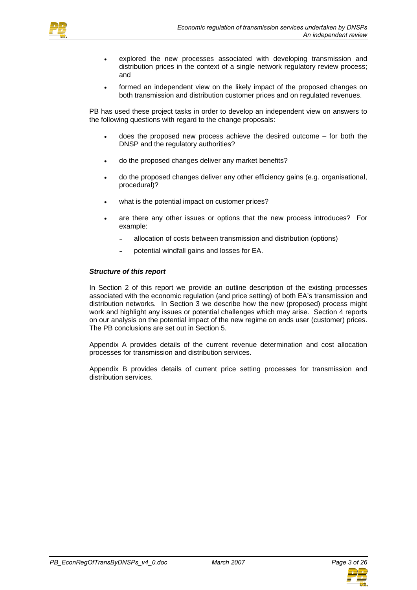

- explored the new processes associated with developing transmission and distribution prices in the context of a single network regulatory review process; and
- formed an independent view on the likely impact of the proposed changes on both transmission and distribution customer prices and on regulated revenues.

PB has used these project tasks in order to develop an independent view on answers to the following questions with regard to the change proposals:

- does the proposed new process achieve the desired outcome  $-$  for both the DNSP and the regulatory authorities?
- do the proposed changes deliver any market benefits?
- do the proposed changes deliver any other efficiency gains (e.g. organisational, procedural)?
- what is the potential impact on customer prices?
- are there any other issues or options that the new process introduces? For example:
	- allocation of costs between transmission and distribution (options)
	- potential windfall gains and losses for EA.

#### *Structure of this report*

In Section 2 of this report we provide an outline description of the existing processes associated with the economic regulation (and price setting) of both EA's transmission and distribution networks. In Section 3 we describe how the new (proposed) process might work and highlight any issues or potential challenges which may arise. Section 4 reports on our analysis on the potential impact of the new regime on ends user (customer) prices. The PB conclusions are set out in Section 5.

Appendix A provides details of the current revenue determination and cost allocation processes for transmission and distribution services.

Appendix B provides details of current price setting processes for transmission and distribution services.

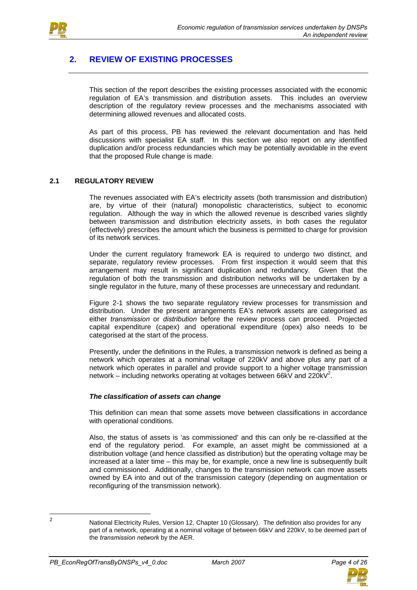

# **2. REVIEW OF EXISTING PROCESSES**

This section of the report describes the existing processes associated with the economic regulation of EA's transmission and distribution assets. This includes an overview description of the regulatory review processes and the mechanisms associated with determining allowed revenues and allocated costs.

As part of this process, PB has reviewed the relevant documentation and has held discussions with specialist EA staff. In this section we also report on any identified duplication and/or process redundancies which may be potentially avoidable in the event that the proposed Rule change is made.

### **2.1 REGULATORY REVIEW**

The revenues associated with EA's electricity assets (both transmission and distribution) are, by virtue of their (natural) monopolistic characteristics, subject to economic regulation. Although the way in which the allowed revenue is described varies slightly between transmission and distribution electricity assets, in both cases the regulator (effectively) prescribes the amount which the business is permitted to charge for provision of its network services.

Under the current regulatory framework EA is required to undergo two distinct, and separate, regulatory review processes. From first inspection it would seem that this arrangement may result in significant duplication and redundancy. Given that the regulation of both the transmission and distribution networks will be undertaken by a single regulator in the future, many of these processes are unnecessary and redundant.

Figure 2-1 shows the two separate regulatory review processes for transmission and distribution. Under the present arrangements EA's network assets are categorised as either *transmission* or *distribution* before the review process can proceed. Projected capital expenditure (capex) and operational expenditure (opex) also needs to be categorised at the start of the process.

Presently, under the definitions in the Rules, a transmission network is defined as being a network which operates at a nominal voltage of 220kV and above plus any part of a network which operates in parallel and provide support to a higher voltage transmission network – including networks operating at voltages between 66kV and 220kV<sup>2</sup>.

#### *The classification of assets can change*

This definition can mean that some assets move between classifications in accordance with operational conditions.

Also, the status of assets is 'as commissioned' and this can only be re-classified at the end of the regulatory period. For example, an asset might be commissioned at a distribution voltage (and hence classified as distribution) but the operating voltage may be increased at a later time – this may be, for example, once a new line is subsequently built and commissioned. Additionally, changes to the transmission network can move assets owned by EA into and out of the transmission category (depending on augmentation or reconfiguring of the transmission network).



 $\frac{1}{2}$ 

National Electricity Rules, Version 12, Chapter 10 (Glossary). The definition also provides for any part of a network, operating at a nominal voltage of between 66kV and 220kV, to be deemed part of the *transmission network* by the AER.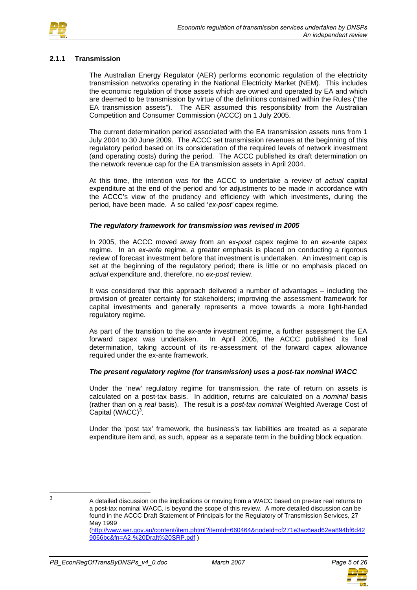

#### **2.1.1 Transmission**

The Australian Energy Regulator (AER) performs economic regulation of the electricity transmission networks operating in the National Electricity Market (NEM). This includes the economic regulation of those assets which are owned and operated by EA and which are deemed to be transmission by virtue of the definitions contained within the Rules ("the EA transmission assets"). The AER assumed this responsibility from the Australian Competition and Consumer Commission (ACCC) on 1 July 2005.

The current determination period associated with the EA transmission assets runs from 1 July 2004 to 30 June 2009. The ACCC set transmission revenues at the beginning of this regulatory period based on its consideration of the required levels of network investment (and operating costs) during the period. The ACCC published its draft determination on the network revenue cap for the EA transmission assets in April 2004.

At this time, the intention was for the ACCC to undertake a review of *actual* capital expenditure at the end of the period and for adjustments to be made in accordance with the ACCC's view of the prudency and efficiency with which investments, during the period, have been made. A so called '*ex-post'* capex regime.

#### *The regulatory framework for transmission was revised in 2005*

In 2005, the ACCC moved away from an *ex-post* capex regime to an *ex-ante* capex regime. In an *ex-ante* regime, a greater emphasis is placed on conducting a rigorous review of forecast investment before that investment is undertaken. An investment cap is set at the beginning of the regulatory period; there is little or no emphasis placed on *actual* expenditure and, therefore, no *ex-post* review.

It was considered that this approach delivered a number of advantages – including the provision of greater certainty for stakeholders; improving the assessment framework for capital investments and generally represents a move towards a more light-handed regulatory regime.

As part of the transition to the *ex-ante* investment regime, a further assessment the EA forward capex was undertaken. In April 2005, the ACCC published its final determination, taking account of its re-assessment of the forward capex allowance required under the ex-ante framework.

#### *The present regulatory regime (for transmission) uses a post-tax nominal WACC*

Under the 'new' regulatory regime for transmission, the rate of return on assets is calculated on a post-tax basis. In addition, returns are calculated on a *nominal* basis (rather than on a *real* basis). The result is a *post-tax nominal* Weighted Average Cost of Capital  $(WACC)^3$ .

Under the 'post tax' framework, the business's tax liabilities are treated as a separate expenditure item and, as such, appear as a separate term in the building block equation.

 $\mathbf{R}$ 



<sup>3</sup> A detailed discussion on the implications or moving from a WACC based on pre-tax real returns to a post-tax nominal WACC, is beyond the scope of this review. A more detailed discussion can be found in the ACCC Draft Statement of Principals for the Regulatory of Transmission Services, 27 May 1999

<sup>(</sup>http://www.aer.gov.au/content/item.phtml?itemId=660464&nodeId=cf271e3ac6ead62ea894bf6d42 9066bc&fn=A2-%20Draft%20SRP.pdf )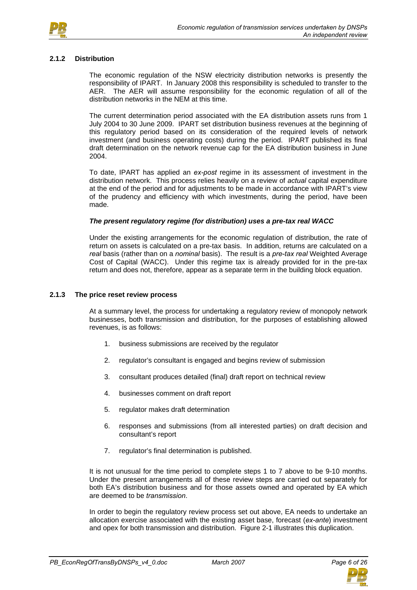

#### **2.1.2 Distribution**

The economic regulation of the NSW electricity distribution networks is presently the responsibility of IPART. In January 2008 this responsibility is scheduled to transfer to the AER. The AER will assume responsibility for the economic regulation of all of the distribution networks in the NEM at this time.

The current determination period associated with the EA distribution assets runs from 1 July 2004 to 30 June 2009. IPART set distribution business revenues at the beginning of this regulatory period based on its consideration of the required levels of network investment (and business operating costs) during the period. IPART published its final draft determination on the network revenue cap for the EA distribution business in June 2004.

To date, IPART has applied an *ex-post* regime in its assessment of investment in the distribution network. This process relies heavily on a review of *actual* capital expenditure at the end of the period and for adjustments to be made in accordance with IPART's view of the prudency and efficiency with which investments, during the period, have been made.

#### *The present regulatory regime (for distribution) uses a pre-tax real WACC*

Under the existing arrangements for the economic regulation of distribution, the rate of return on assets is calculated on a pre-tax basis. In addition, returns are calculated on a *real* basis (rather than on a *nominal* basis). The result is a *pre-tax real* Weighted Average Cost of Capital (WACC). Under this regime tax is already provided for in the pre-tax return and does not, therefore, appear as a separate term in the building block equation.

#### **2.1.3 The price reset review process**

At a summary level, the process for undertaking a regulatory review of monopoly network businesses, both transmission and distribution, for the purposes of establishing allowed revenues, is as follows:

- 1. business submissions are received by the regulator
- 2. regulator's consultant is engaged and begins review of submission
- 3. consultant produces detailed (final) draft report on technical review
- 4. businesses comment on draft report
- 5. regulator makes draft determination
- 6. responses and submissions (from all interested parties) on draft decision and consultant's report
- 7. regulator's final determination is published.

It is not unusual for the time period to complete steps 1 to 7 above to be 9-10 months. Under the present arrangements all of these review steps are carried out separately for both EA's distribution business and for those assets owned and operated by EA which are deemed to be *transmission*.

In order to begin the regulatory review process set out above, EA needs to undertake an allocation exercise associated with the existing asset base, forecast (*ex-ante*) investment and opex for both transmission and distribution. Figure 2-1 illustrates this duplication.

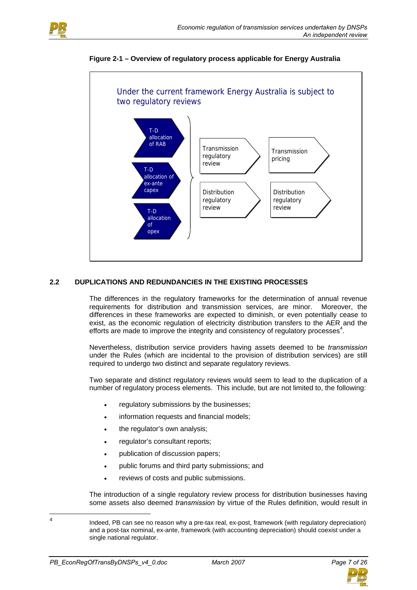



#### **Figure 2-1 – Overview of regulatory process applicable for Energy Australia**

## **2.2 DUPLICATIONS AND REDUNDANCIES IN THE EXISTING PROCESSES**

The differences in the regulatory frameworks for the determination of annual revenue requirements for distribution and transmission services, are minor. Moreover, the differences in these frameworks are expected to diminish, or even potentially cease to exist, as the economic regulation of electricity distribution transfers to the AER and the efforts are made to improve the integrity and consistency of regulatory processes $4$ .

Nevertheless, distribution service providers having assets deemed to be *transmission* under the Rules (which are incidental to the provision of distribution services) are still required to undergo two distinct and separate regulatory reviews.

Two separate and distinct regulatory reviews would seem to lead to the duplication of a number of regulatory process elements. This include, but are not limited to, the following:

- regulatory submissions by the businesses;
- information requests and financial models;
- the regulator's own analysis;
- regulator's consultant reports;
- publication of discussion papers;
- public forums and third party submissions; and
- reviews of costs and public submissions.

The introduction of a single regulatory review process for distribution businesses having some assets also deemed *transmission* by virtue of the Rules definition, would result in

 $\frac{1}{4}$ 



Indeed, PB can see no reason why a pre-tax real, ex-post, framework (with regulatory depreciation) and a post-tax nominal, ex-ante, framework (with accounting depreciation) should coexist under a single national regulator.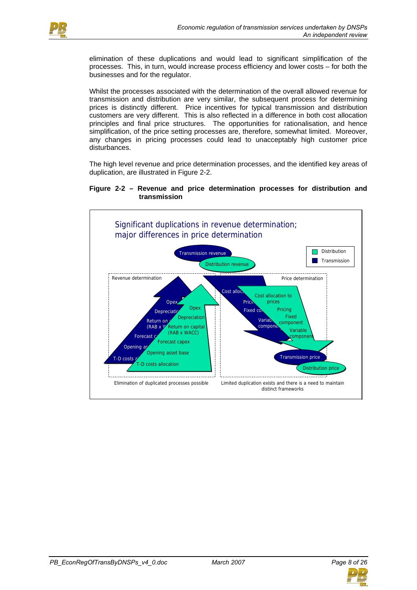

elimination of these duplications and would lead to significant simplification of the processes. This, in turn, would increase process efficiency and lower costs – for both the businesses and for the regulator.

Whilst the processes associated with the determination of the overall allowed revenue for transmission and distribution are very similar, the subsequent process for determining prices is distinctly different. Price incentives for typical transmission and distribution customers are very different. This is also reflected in a difference in both cost allocation principles and final price structures. The opportunities for rationalisation, and hence simplification, of the price setting processes are, therefore, somewhat limited. Moreover, any changes in pricing processes could lead to unacceptably high customer price disturbances.

The high level revenue and price determination processes, and the identified key areas of duplication, are illustrated in Figure 2-2.

#### **Figure 2-2 – Revenue and price determination processes for distribution and transmission**



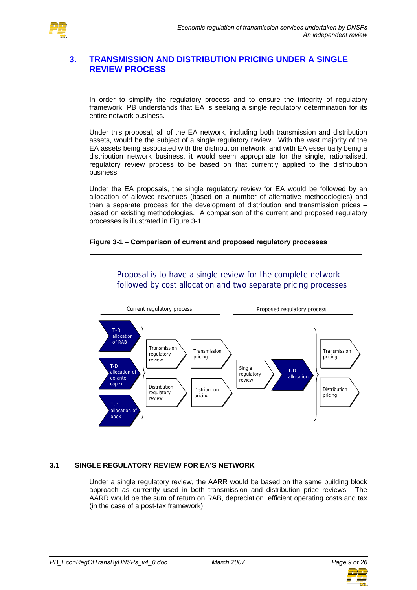

# **3. TRANSMISSION AND DISTRIBUTION PRICING UNDER A SINGLE REVIEW PROCESS**

In order to simplify the regulatory process and to ensure the integrity of regulatory framework, PB understands that EA is seeking a single regulatory determination for its entire network business.

Under this proposal, all of the EA network, including both transmission and distribution assets, would be the subject of a single regulatory review. With the vast majority of the EA assets being associated with the distribution network, and with EA essentially being a distribution network business, it would seem appropriate for the single, rationalised, regulatory review process to be based on that currently applied to the distribution business.

Under the EA proposals, the single regulatory review for EA would be followed by an allocation of allowed revenues (based on a number of alternative methodologies) and then a separate process for the development of distribution and transmission prices – based on existing methodologies. A comparison of the current and proposed regulatory processes is illustrated in Figure 3-1.

### **Figure 3-1 – Comparison of current and proposed regulatory processes**



# **3.1 SINGLE REGULATORY REVIEW FOR EA'S NETWORK**

Under a single regulatory review, the AARR would be based on the same building block approach as currently used in both transmission and distribution price reviews. The AARR would be the sum of return on RAB, depreciation, efficient operating costs and tax (in the case of a post-tax framework).

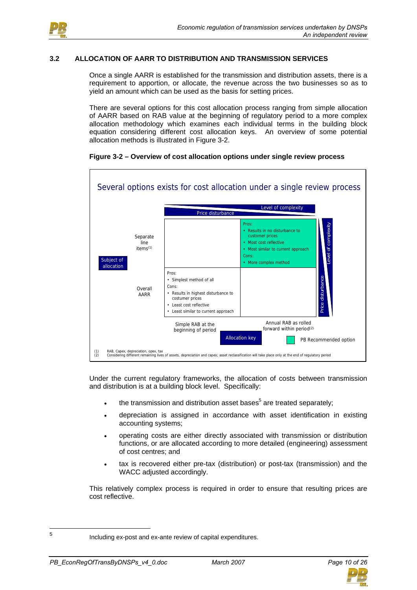

#### **3.2 ALLOCATION OF AARR TO DISTRIBUTION AND TRANSMISSION SERVICES**

Once a single AARR is established for the transmission and distribution assets, there is a requirement to apportion, or allocate, the revenue across the two businesses so as to yield an amount which can be used as the basis for setting prices.

There are several options for this cost allocation process ranging from simple allocation of AARR based on RAB value at the beginning of regulatory period to a more complex allocation methodology which examines each individual terms in the building block equation considering different cost allocation keys. An overview of some potential allocation methods is illustrated in Figure 3-2.



#### **Figure 3-2 – Overview of cost allocation options under single review process**

Under the current regulatory frameworks, the allocation of costs between transmission and distribution is at a building block level. Specifically:

- $\bullet$  the transmission and distribution asset bases<sup>5</sup> are treated separately;
- depreciation is assigned in accordance with asset identification in existing accounting systems;
- operating costs are either directly associated with transmission or distribution functions, or are allocated according to more detailed (engineering) assessment of cost centres; and
- tax is recovered either pre-tax (distribution) or post-tax (transmission) and the WACC adjusted accordingly.

This relatively complex process is required in order to ensure that resulting prices are cost reflective.



 $\frac{1}{5}$ 

Including ex-post and ex-ante review of capital expenditures.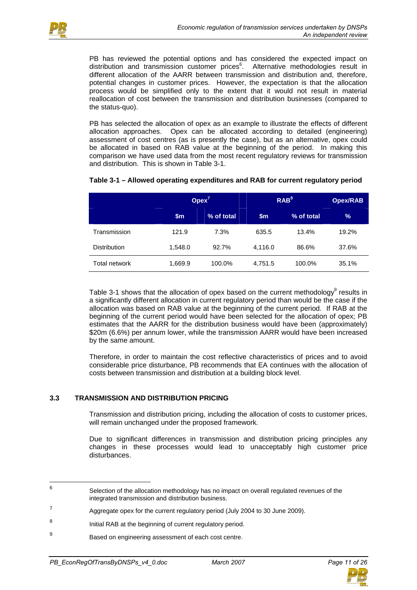

PB has reviewed the potential options and has considered the expected impact on distribution and transmission customer prices<sup>6</sup>. Alternative methodologies result in different allocation of the AARR between transmission and distribution and, therefore, potential changes in customer prices. However, the expectation is that the allocation process would be simplified only to the extent that it would not result in material reallocation of cost between the transmission and distribution businesses (compared to the status-quo).

PB has selected the allocation of opex as an example to illustrate the effects of different allocation approaches. Opex can be allocated according to detailed (engineering) assessment of cost centres (as is presently the case), but as an alternative, opex could be allocated in based on RAB value at the beginning of the period. In making this comparison we have used data from the most recent regulatory reviews for transmission and distribution. This is shown in Table 3-1.

|                     |               | O <sub>plex</sub> <sup>7</sup> | RAB <sup>8</sup> | <b>Opex/RAB</b> |       |
|---------------------|---------------|--------------------------------|------------------|-----------------|-------|
|                     | $\mathsf{sm}$ | % of total                     | $\mathsf{sm}$    | % of total      | $\%$  |
| Transmission        | 121.9         | 7.3%                           | 635.5            | 13.4%           | 19.2% |
| <b>Distribution</b> | 1.548.0       | 92.7%                          | 4.116.0          | 86.6%           | 37.6% |
| Total network       | 1,669.9       | 100.0%                         | 4,751.5          | 100.0%          | 35.1% |

# **Table 3-1 – Allowed operating expenditures and RAB for current regulatory period**

Table 3-1 shows that the allocation of opex based on the current methodology $^9$  results in a significantly different allocation in current regulatory period than would be the case if the allocation was based on RAB value at the beginning of the current period. If RAB at the beginning of the current period would have been selected for the allocation of opex; PB estimates that the AARR for the distribution business would have been (approximately) \$20m (6.6%) per annum lower, while the transmission AARR would have been increased by the same amount.

Therefore, in order to maintain the cost reflective characteristics of prices and to avoid considerable price disturbance, PB recommends that EA continues with the allocation of costs between transmission and distribution at a building block level.

# **3.3 TRANSMISSION AND DISTRIBUTION PRICING**

Transmission and distribution pricing, including the allocation of costs to customer prices, will remain unchanged under the proposed framework.

Due to significant differences in transmission and distribution pricing principles any changes in these processes would lead to unacceptably high customer price disturbances.



<sup>—&</sup>lt;br>6 Selection of the allocation methodology has no impact on overall regulated revenues of the integrated transmission and distribution business.

 $7 \mu$  Aggregate opex for the current regulatory period (July 2004 to 30 June 2009).

<sup>8</sup> **Initial RAB at the beginning of current regulatory period.** 

 $\overline{9}$ Based on engineering assessment of each cost centre.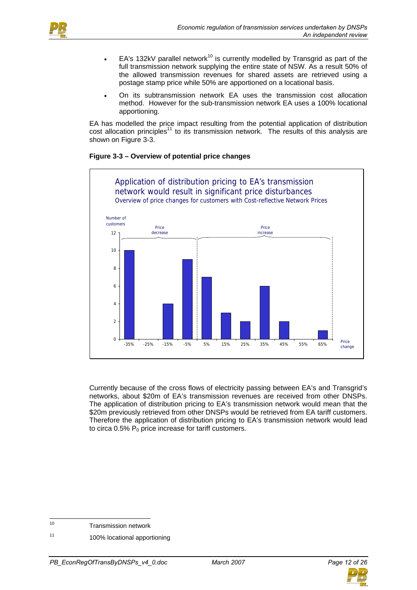



- EA's 132kV parallel network<sup>10</sup> is currently modelled by Transgrid as part of the full transmission network supplying the entire state of NSW. As a result 50% of the allowed transmission revenues for shared assets are retrieved using a postage stamp price while 50% are apportioned on a locational basis.
- On its subtransmission network EA uses the transmission cost allocation method. However for the sub-transmission network EA uses a 100% locational apportioning.

EA has modelled the price impact resulting from the potential application of distribution cost allocation principles<sup>11</sup> to its transmission network. The results of this analysis are shown on Figure 3-3.

## **Figure 3-3 – Overview of potential price changes**



Currently because of the cross flows of electricity passing between EA's and Transgrid's networks, about \$20m of EA's transmission revenues are received from other DNSPs. The application of distribution pricing to EA's transmission network would mean that the \$20m previously retrieved from other DNSPs would be retrieved from EA tariff customers. Therefore the application of distribution pricing to EA's transmission network would lead to circa  $0.5\%$  P<sub>0</sub> price increase for tariff customers.



 $10$ Transmission network

<sup>11 100%</sup> locational apportioning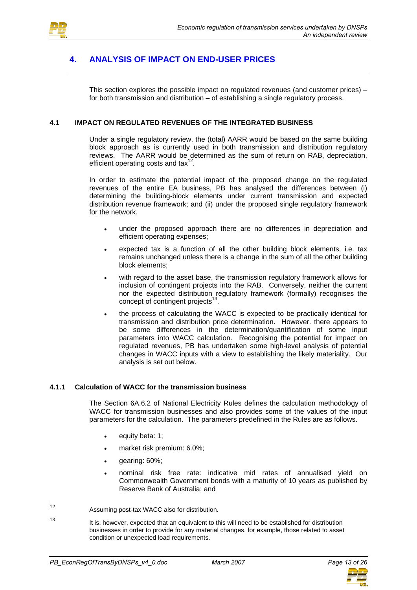

# **4. ANALYSIS OF IMPACT ON END-USER PRICES**

This section explores the possible impact on regulated revenues (and customer prices) – for both transmission and distribution – of establishing a single regulatory process.

#### **4.1 IMPACT ON REGULATED REVENUES OF THE INTEGRATED BUSINESS**

Under a single regulatory review, the (total) AARR would be based on the same building block approach as is currently used in both transmission and distribution regulatory reviews. The AARR would be determined as the sum of return on RAB, depreciation, efficient operating costs and tax $12$ .

In order to estimate the potential impact of the proposed change on the regulated revenues of the entire EA business, PB has analysed the differences between (i) determining the building-block elements under current transmission and expected distribution revenue framework; and (ii) under the proposed single regulatory framework for the network.

- under the proposed approach there are no differences in depreciation and efficient operating expenses;
- expected tax is a function of all the other building block elements, i.e. tax remains unchanged unless there is a change in the sum of all the other building block elements;
- with regard to the asset base, the transmission regulatory framework allows for inclusion of contingent projects into the RAB. Conversely, neither the current nor the expected distribution regulatory framework (formally) recognises the concept of contingent projects $^{13}$ .
- the process of calculating the WACC is expected to be practically identical for transmission and distribution price determination. However. there appears to be some differences in the determination/quantification of some input parameters into WACC calculation. Recognising the potential for impact on regulated revenues, PB has undertaken some high-level analysis of potential changes in WACC inputs with a view to establishing the likely materiality. Our analysis is set out below.

#### **4.1.1 Calculation of WACC for the transmission business**

The Section 6A.6.2 of National Electricity Rules defines the calculation methodology of WACC for transmission businesses and also provides some of the values of the input parameters for the calculation. The parameters predefined in the Rules are as follows.

- equity beta: 1;
- market risk premium: 6.0%;
- gearing: 60%;
- nominal risk free rate: indicative mid rates of annualised yield on Commonwealth Government bonds with a maturity of 10 years as published by Reserve Bank of Australia; and

 $12<sup>12</sup>$ Assuming post-tax WACC also for distribution.

<sup>13</sup> It is, however, expected that an equivalent to this will need to be established for distribution businesses in order to provide for any material changes, for example, those related to asset condition or unexpected load requirements.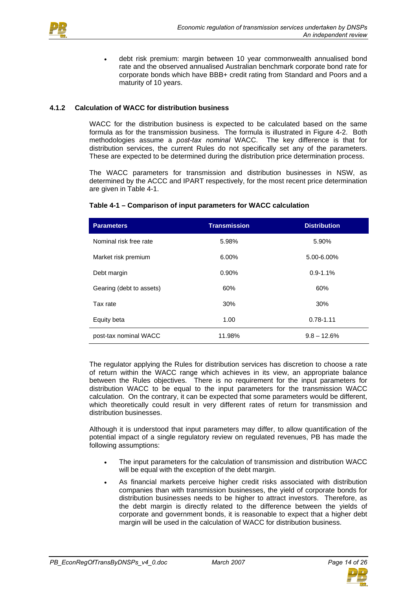

• debt risk premium: margin between 10 year commonwealth annualised bond rate and the observed annualised Australian benchmark corporate bond rate for corporate bonds which have BBB+ credit rating from Standard and Poors and a maturity of 10 years.

## **4.1.2 Calculation of WACC for distribution business**

WACC for the distribution business is expected to be calculated based on the same formula as for the transmission business. The formula is illustrated in Figure 4-2. Both methodologies assume a *post-tax nominal* WACC. The key difference is that for distribution services, the current Rules do not specifically set any of the parameters. These are expected to be determined during the distribution price determination process.

The WACC parameters for transmission and distribution businesses in NSW, as determined by the ACCC and IPART respectively, for the most recent price determination are given in Table 4-1.

| <b>Parameters</b>        | <b>Transmission</b> | <b>Distribution</b> |
|--------------------------|---------------------|---------------------|
| Nominal risk free rate   | 5.98%               | 5.90%               |
| Market risk premium      | 6.00%               | 5.00-6.00%          |
| Debt margin              | 0.90%               | $0.9 - 1.1%$        |
| Gearing (debt to assets) | 60%                 | 60%                 |
| Tax rate                 | 30%                 | 30%                 |
| Equity beta              | 1.00                | $0.78 - 1.11$       |
| post-tax nominal WACC    | 11.98%              | $9.8 - 12.6%$       |

#### **Table 4-1 – Comparison of input parameters for WACC calculation**

The regulator applying the Rules for distribution services has discretion to choose a rate of return within the WACC range which achieves in its view, an appropriate balance between the Rules objectives. There is no requirement for the input parameters for distribution WACC to be equal to the input parameters for the transmission WACC calculation. On the contrary, it can be expected that some parameters would be different, which theoretically could result in very different rates of return for transmission and distribution businesses.

Although it is understood that input parameters may differ, to allow quantification of the potential impact of a single regulatory review on regulated revenues, PB has made the following assumptions:

- The input parameters for the calculation of transmission and distribution WACC will be equal with the exception of the debt margin.
- As financial markets perceive higher credit risks associated with distribution companies than with transmission businesses, the yield of corporate bonds for distribution businesses needs to be higher to attract investors. Therefore, as the debt margin is directly related to the difference between the yields of corporate and government bonds, it is reasonable to expect that a higher debt margin will be used in the calculation of WACC for distribution business.

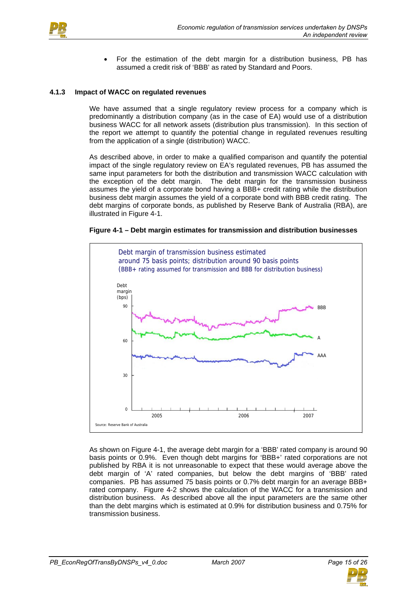

• For the estimation of the debt margin for a distribution business, PB has assumed a credit risk of 'BBB' as rated by Standard and Poors.

#### **4.1.3 Impact of WACC on regulated revenues**

We have assumed that a single regulatory review process for a company which is predominantly a distribution company (as in the case of EA) would use of a distribution business WACC for all network assets (distribution plus transmission). In this section of the report we attempt to quantify the potential change in regulated revenues resulting from the application of a single (distribution) WACC.

As described above, in order to make a qualified comparison and quantify the potential impact of the single regulatory review on EA's regulated revenues, PB has assumed the same input parameters for both the distribution and transmission WACC calculation with the exception of the debt margin. The debt margin for the transmission business assumes the yield of a corporate bond having a BBB+ credit rating while the distribution business debt margin assumes the yield of a corporate bond with BBB credit rating. The debt margins of corporate bonds, as published by Reserve Bank of Australia (RBA), are illustrated in Figure 4-1.

#### **Figure 4-1 – Debt margin estimates for transmission and distribution businesses**



As shown on Figure 4-1, the average debt margin for a 'BBB' rated company is around 90 basis points or 0.9%. Even though debt margins for 'BBB+' rated corporations are not published by RBA it is not unreasonable to expect that these would average above the debt margin of 'A' rated companies, but below the debt margins of 'BBB' rated companies. PB has assumed 75 basis points or 0.7% debt margin for an average BBB+ rated company. Figure 4-2 shows the calculation of the WACC for a transmission and distribution business. As described above all the input parameters are the same other than the debt margins which is estimated at 0.9% for distribution business and 0.75% for transmission business.

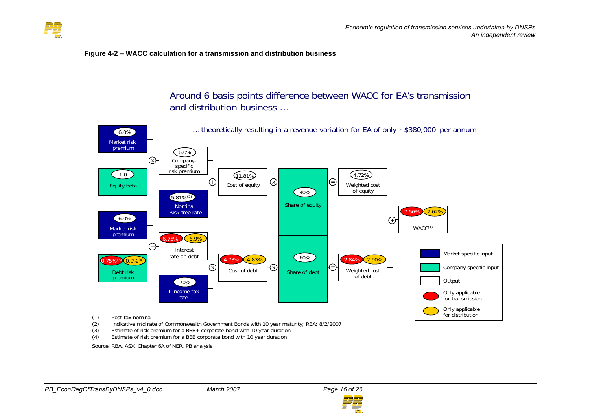

#### **Figure 4-2 – WACC calculation for a transmission and distribution business**

Around 6 basis points difference between WACC for EA's transmission and distribution business …



- Estimate of risk premium for a BBB+ corporate bond with 10 year duration
- (4) Estimate of risk premium for a BBB corporate bond with 10 year duration

Source: RBA, ASX, Chapter 6A of NER, PB analysis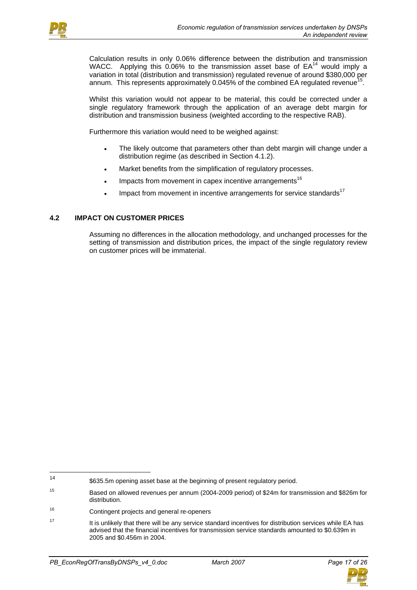

Calculation results in only 0.06% difference between the distribution and transmission WACC. Applying this  $0.06\%$  to the transmission asset base of  $EA^{14}$  would imply a variation in total (distribution and transmission) regulated revenue of around \$380,000 per annum. This represents approximately 0.045% of the combined EA regulated revenue<sup>15</sup>.

Whilst this variation would not appear to be material, this could be corrected under a single regulatory framework through the application of an average debt margin for distribution and transmission business (weighted according to the respective RAB).

Furthermore this variation would need to be weighed against:

- The likely outcome that parameters other than debt margin will change under a distribution regime (as described in Section 4.1.2).
- Market benefits from the simplification of regulatory processes.
- Impacts from movement in capex incentive arrangements<sup>16</sup>
- Impact from movement in incentive arrangements for service standards $17$

### **4.2 IMPACT ON CUSTOMER PRICES**

Assuming no differences in the allocation methodology, and unchanged processes for the setting of transmission and distribution prices, the impact of the single regulatory review on customer prices will be immaterial.



 $14$ \$635.5m opening asset base at the beginning of present regulatory period.

<sup>15</sup> Based on allowed revenues per annum (2004-2009 period) of \$24m for transmission and \$826m for distribution.

<sup>16</sup> Contingent projects and general re-openers

<sup>&</sup>lt;sup>17</sup> It is unlikely that there will be any service standard incentives for distribution services while EA has advised that the financial incentives for transmission service standards amounted to \$0.639m in 2005 and \$0.456m in 2004.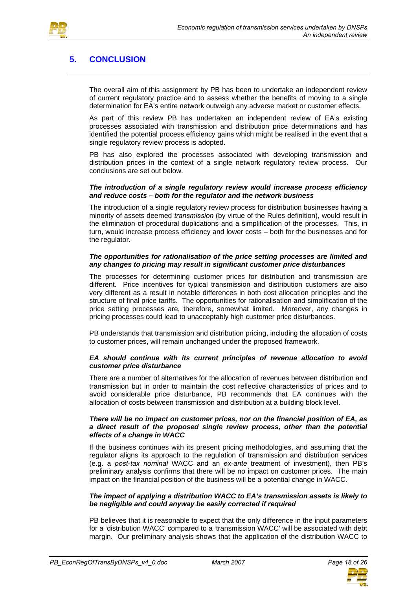



# **5. CONCLUSION**

The overall aim of this assignment by PB has been to undertake an independent review of current regulatory practice and to assess whether the benefits of moving to a single determination for EA's entire network outweigh any adverse market or customer effects.

As part of this review PB has undertaken an independent review of EA's existing processes associated with transmission and distribution price determinations and has identified the potential process efficiency gains which might be realised in the event that a single regulatory review process is adopted.

PB has also explored the processes associated with developing transmission and distribution prices in the context of a single network regulatory review process. Our conclusions are set out below.

#### *The introduction of a single regulatory review would increase process efficiency and reduce costs – both for the regulator and the network business*

The introduction of a single regulatory review process for distribution businesses having a minority of assets deemed *transmission* (by virtue of the Rules definition), would result in the elimination of procedural duplications and a simplification of the processes. This, in turn, would increase process efficiency and lower costs – both for the businesses and for the regulator.

#### *The opportunities for rationalisation of the price setting processes are limited and any changes to pricing may result in significant customer price disturbances*

The processes for determining customer prices for distribution and transmission are different. Price incentives for typical transmission and distribution customers are also very different as a result in notable differences in both cost allocation principles and the structure of final price tariffs. The opportunities for rationalisation and simplification of the price setting processes are, therefore, somewhat limited. Moreover, any changes in pricing processes could lead to unacceptably high customer price disturbances.

PB understands that transmission and distribution pricing, including the allocation of costs to customer prices, will remain unchanged under the proposed framework.

#### *EA should continue with its current principles of revenue allocation to avoid customer price disturbance*

There are a number of alternatives for the allocation of revenues between distribution and transmission but in order to maintain the cost reflective characteristics of prices and to avoid considerable price disturbance, PB recommends that EA continues with the allocation of costs between transmission and distribution at a building block level.

#### *There will be no impact on customer prices, nor on the financial position of EA, as a direct result of the proposed single review process, other than the potential effects of a change in WACC*

If the business continues with its present pricing methodologies, and assuming that the regulator aligns its approach to the regulation of transmission and distribution services (e.g. a *post-tax nominal* WACC and an *ex-ante* treatment of investment), then PB's preliminary analysis confirms that there will be no impact on customer prices. The main impact on the financial position of the business will be a potential change in WACC.

#### *The impact of applying a distribution WACC to EA's transmission assets is likely to be negligible and could anyway be easily corrected if required*

PB believes that it is reasonable to expect that the only difference in the input parameters for a 'distribution WACC' compared to a 'transmission WACC' will be associated with debt margin. Our preliminary analysis shows that the application of the distribution WACC to

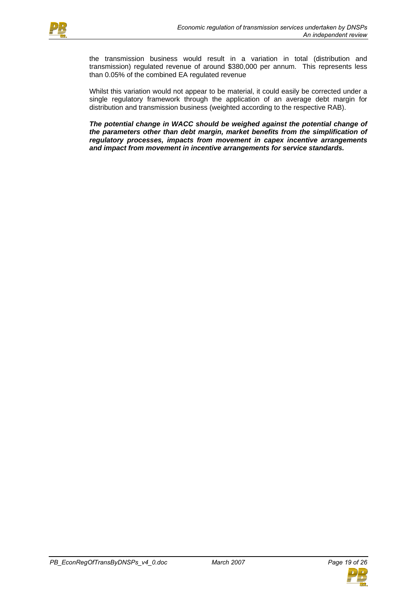

the transmission business would result in a variation in total (distribution and transmission) regulated revenue of around \$380,000 per annum. This represents less than 0.05% of the combined EA regulated revenue

Whilst this variation would not appear to be material, it could easily be corrected under a single regulatory framework through the application of an average debt margin for distribution and transmission business (weighted according to the respective RAB).

*The potential change in WACC should be weighed against the potential change of the parameters other than debt margin, market benefits from the simplification of regulatory processes, impacts from movement in capex incentive arrangements and impact from movement in incentive arrangements for service standards.* 

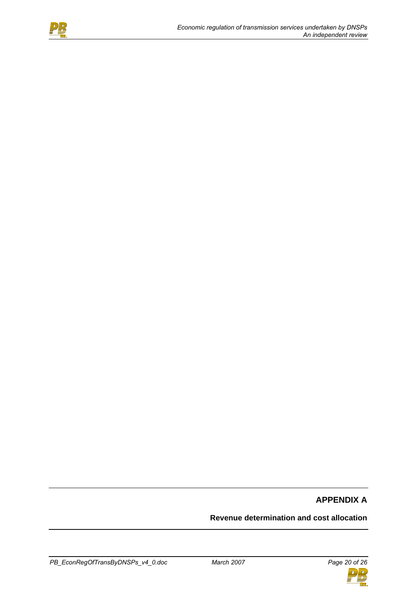

# **APPENDIX A**

# **Revenue determination and cost allocation**

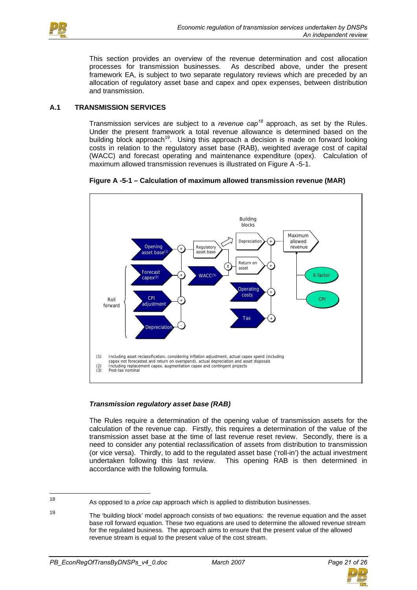

This section provides an overview of the revenue determination and cost allocation processes for transmission businesses. As described above, under the present framework EA, is subject to two separate regulatory reviews which are preceded by an allocation of regulatory asset base and capex and opex expenses, between distribution and transmission.

# **A.1 TRANSMISSION SERVICES**

Transmission services are subject to a *revenue cap<sup>18</sup>* approach, as set by the Rules. Under the present framework a total revenue allowance is determined based on the building block approach<sup>19</sup>. Using this approach a decision is made on forward looking costs in relation to the regulatory asset base (RAB), weighted average cost of capital (WACC) and forecast operating and maintenance expenditure (opex). Calculation of maximum allowed transmission revenues is illustrated on Figure A -5-1.





### *Transmission regulatory asset base (RAB)*

The Rules require a determination of the opening value of transmission assets for the calculation of the revenue cap. Firstly, this requires a determination of the value of the transmission asset base at the time of last revenue reset review. Secondly, there is a need to consider any potential reclassification of assets from distribution to transmission (or vice versa). Thirdly, to add to the regulated asset base ('roll-in') the actual investment undertaken following this last review. This opening RAB is then determined in accordance with the following formula.



<sup>18</sup> <sup>18</sup> As opposed to a *price cap* approach which is applied to distribution businesses.

<sup>19</sup> The 'building block' model approach consists of two equations: the revenue equation and the asset base roll forward equation. These two equations are used to determine the allowed revenue stream for the regulated business. The approach aims to ensure that the present value of the allowed revenue stream is equal to the present value of the cost stream.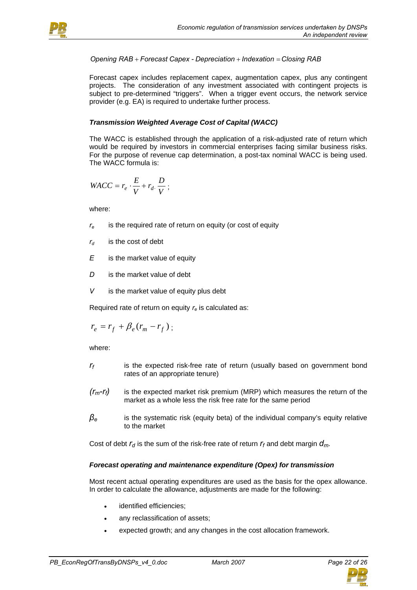



*Opening RAB* + *Forecast Capex - Depreciation* + *Indexation* = *Closing RAB*

Forecast capex includes replacement capex, augmentation capex, plus any contingent projects. The consideration of any investment associated with contingent projects is subject to pre-determined "triggers". When a trigger event occurs, the network service provider (e.g. EA) is required to undertake further process.

# *Transmission Weighted Average Cost of Capital (WACC)*

The WACC is established through the application of a risk-adjusted rate of return which would be required by investors in commercial enterprises facing similar business risks. For the purpose of revenue cap determination, a post-tax nominal WACC is being used. The WACC formula is:

$$
WACC = r_e \cdot \frac{E}{V} + r_d \cdot \frac{D}{V} ;
$$

where:

- *re* is the required rate of return on equity (or cost of equity
- $r_d$  is the cost of debt
- *E* is the market value of equity
- *D* is the market value of debt
- *V* is the market value of equity plus debt

Required rate of return on equity *re* is calculated as:

$$
r_e = r_f + \beta_e (r_m - r_f) ;
$$

where:

- *rf* is the expected risk-free rate of return (usually based on government bond rates of an appropriate tenure)
- *(rm-rf)* is the expected market risk premium (MRP) which measures the return of the market as a whole less the risk free rate for the same period
- *βe* is the systematic risk (equity beta) of the individual company's equity relative to the market

Cost of debt  $r_d$  is the sum of the risk-free rate of return  $r_f$  and debt margin  $d_m$ .

### *Forecast operating and maintenance expenditure (Opex) for transmission*

Most recent actual operating expenditures are used as the basis for the opex allowance. In order to calculate the allowance, adjustments are made for the following:

- identified efficiencies;
- any reclassification of assets;
- expected growth; and any changes in the cost allocation framework.

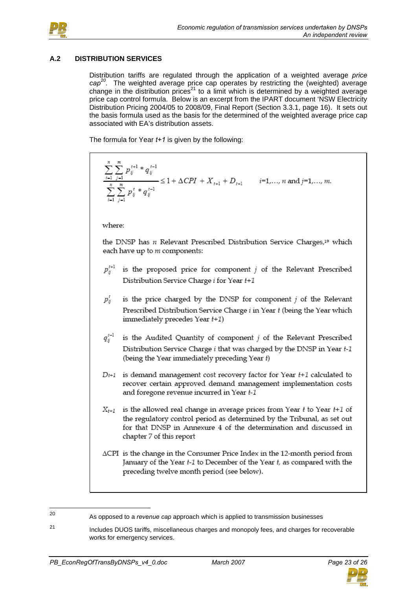

# **A.2 DISTRIBUTION SERVICES**

Distribution tariffs are regulated through the application of a weighted average *price cap20*. The weighted average price cap operates by restricting the (weighted) average change in the distribution prices<sup>21</sup> to a limit which is determined by a weighted average price cap control formula. Below is an excerpt from the IPART document 'NSW Electricity Distribution Pricing 2004/05 to 2008/09, Final Report (Section 3.3.1, page 16). It sets out the basis formula used as the basis for the determined of the weighted average price cap associated with EA's distribution assets.

The formula for Year *t+1* is given by the following:

 $\sum_{i=1}^{n} \sum_{j=1}^{n} p_{ij}^{t+1} * q_{ij}^{t-1}$ <br> $\sum_{i=1}^{n} \sum_{i=1}^{m} p_{ij}^{t} * q_{ij}^{t-1}$   $\leq 1 + \Delta CPI + X_{t+1} + D_{t+1}$   $i=1,..., n$  and  $j=1,..., m$ .

where:

the DNSP has  $n$  Relevant Prescribed Distribution Service Charges,<sup>19</sup> which each have up to m components:

- $p_{ij}^{t+1}$ is the proposed price for component  $j$  of the Relevant Prescribed Distribution Service Charge i for Year t+1
- $p_{ii}^t$ is the price charged by the DNSP for component  $j$  of the Relevant Prescribed Distribution Service Charge i in Year t (being the Year which immediately precedes Year  $t+1$ )
- $q_{ii}^{t-1}$ is the Audited Quantity of component  $j$  of the Relevant Prescribed Distribution Service Charge i that was charged by the DNSP in Year t-1 (being the Year immediately preceding Year t)
- $D_{t+1}$  is demand management cost recovery factor for Year  $t+1$  calculated to recover certain approved demand management implementation costs and foregone revenue incurred in Year t-1
- $X_{t+1}$  is the allowed real change in average prices from Year  $t$  to Year  $t+1$  of the regulatory control period as determined by the Tribunal, as set out for that DNSP in Annexure 4 of the determination and discussed in chapter 7 of this report
- $\triangle$ CPI is the change in the Consumer Price Index in the 12-month period from January of the Year *t-1* to December of the Year *t*, as compared with the preceding twelve month period (see below).

<sup>21</sup> Includes DUOS tariffs, miscellaneous charges and monopoly fees, and charges for recoverable works for emergency services.



 $20$ 

As opposed to a *revenue cap* approach which is applied to transmission businesses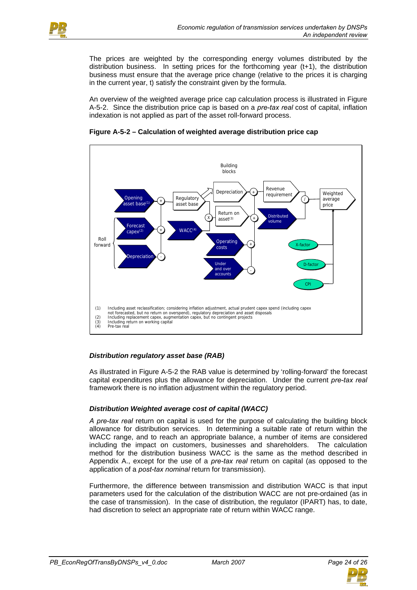

The prices are weighted by the corresponding energy volumes distributed by the distribution business. In setting prices for the forthcoming year (t+1), the distribution business must ensure that the average price change (relative to the prices it is charging in the current year, t) satisfy the constraint given by the formula.

An overview of the weighted average price cap calculation process is illustrated in Figure A-5-2. Since the distribution price cap is based on a *pre-tax real* cost of capital, inflation indexation is not applied as part of the asset roll-forward process.





# *Distribution regulatory asset base (RAB)*

As illustrated in Figure A-5-2 the RAB value is determined by 'rolling-forward' the forecast capital expenditures plus the allowance for depreciation. Under the current *pre-tax real* framework there is no inflation adjustment within the regulatory period.

# *Distribution Weighted average cost of capital (WACC)*

*A pre-tax real* return on capital is used for the purpose of calculating the building block allowance for distribution services. In determining a suitable rate of return within the WACC range, and to reach an appropriate balance, a number of items are considered including the impact on customers, businesses and shareholders. The calculation method for the distribution business WACC is the same as the method described in Appendix A., except for the use of a *pre-tax real* return on capital (as opposed to the application of a *post-tax nominal* return for transmission).

Furthermore, the difference between transmission and distribution WACC is that input parameters used for the calculation of the distribution WACC are not pre-ordained (as in the case of transmission). In the case of distribution, the regulator (IPART) has, to date, had discretion to select an appropriate rate of return within WACC range.

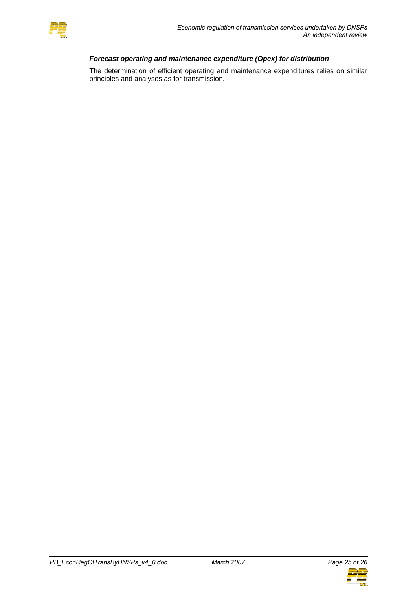

# *Forecast operating and maintenance expenditure (Opex) for distribution*

The determination of efficient operating and maintenance expenditures relies on similar principles and analyses as for transmission.

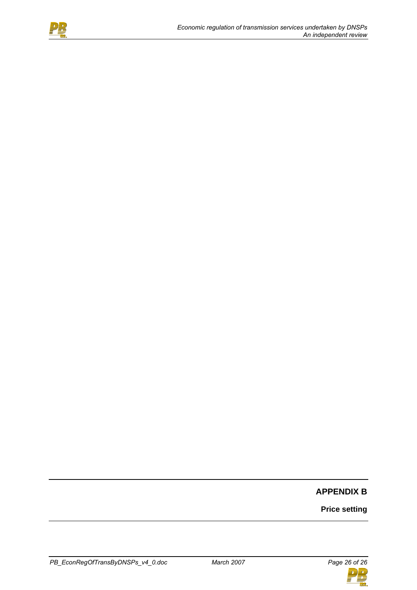

# **APPENDIX B**

**Price setting** 

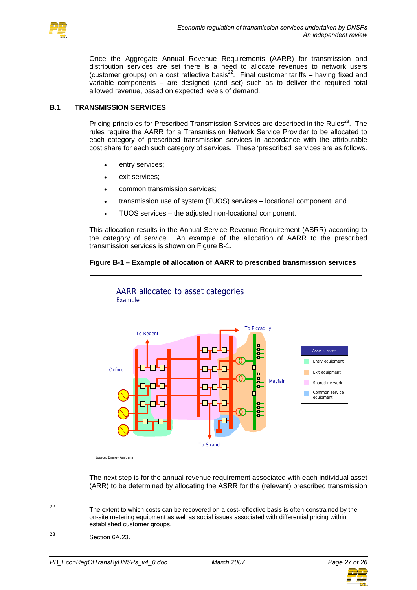

Once the Aggregate Annual Revenue Requirements (AARR) for transmission and distribution services are set there is a need to allocate revenues to network users (customer groups) on a cost reflective basis22. Final customer tariffs – having fixed and variable components – are designed (and set) such as to deliver the required total allowed revenue, based on expected levels of demand.

## **B.1 TRANSMISSION SERVICES**

Pricing principles for Prescribed Transmission Services are described in the Rules<sup>23</sup>. The rules require the AARR for a Transmission Network Service Provider to be allocated to each category of prescribed transmission services in accordance with the attributable cost share for each such category of services. These 'prescribed' services are as follows.

- entry services;
- exit services;
- common transmission services;
- transmission use of system (TUOS) services locational component; and
- TUOS services the adjusted non-locational component.

This allocation results in the Annual Service Revenue Requirement (ASRR) according to the category of service. An example of the allocation of AARR to the prescribed transmission services is shown on Figure B-1.

## **Figure B-1 – Example of allocation of AARR to prescribed transmission services**



The next step is for the annual revenue requirement associated with each individual asset (ARR) to be determined by allocating the ASRR for the (relevant) prescribed transmission



 $22$ The extent to which costs can be recovered on a cost-reflective basis is often constrained by the on-site metering equipment as well as social issues associated with differential pricing within established customer groups.

<sup>23</sup> Section 6A.23.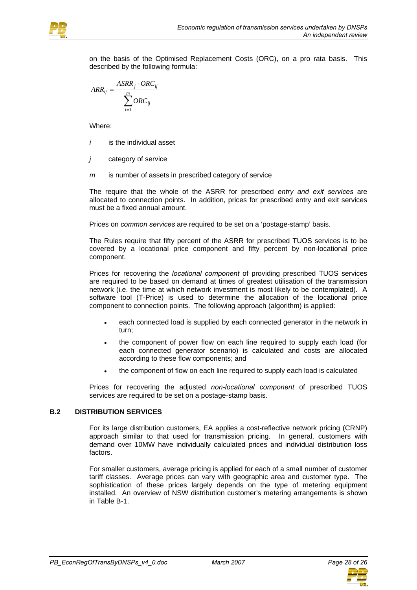

on the basis of the Optimised Replacement Costs (ORC), on a pro rata basis. This described by the following formula:

$$
ARR_{ij} = \frac{ASRR_j \cdot ORC_{ij}}{\sum_{i=1}^{m} ORC_{ij}}
$$

Where:

- *i* is the individual asset
- *j* category of service
- *m* is number of assets in prescribed category of service

The require that the whole of the ASRR for prescribed *entry and exit services* are allocated to connection points. In addition, prices for prescribed entry and exit services must be a fixed annual amount.

Prices on *common services* are required to be set on a 'postage-stamp' basis.

The Rules require that fifty percent of the ASRR for prescribed TUOS services is to be covered by a locational price component and fifty percent by non-locational price component.

Prices for recovering the *locational component* of providing prescribed TUOS services are required to be based on demand at times of greatest utilisation of the transmission network (i.e. the time at which network investment is most likely to be contemplated). A software tool (T-Price) is used to determine the allocation of the locational price component to connection points. The following approach (algorithm) is applied:

- each connected load is supplied by each connected generator in the network in turn;
- the component of power flow on each line required to supply each load (for each connected generator scenario) is calculated and costs are allocated according to these flow components; and
- the component of flow on each line required to supply each load is calculated

Prices for recovering the adjusted *non-locational component* of prescribed TUOS services are required to be set on a postage-stamp basis.

## **B.2 DISTRIBUTION SERVICES**

For its large distribution customers, EA applies a cost-reflective network pricing (CRNP) approach similar to that used for transmission pricing. In general, customers with demand over 10MW have individually calculated prices and individual distribution loss factors.

For smaller customers, average pricing is applied for each of a small number of customer tariff classes. Average prices can vary with geographic area and customer type. The sophistication of these prices largely depends on the type of metering equipment installed. An overview of NSW distribution customer's metering arrangements is shown in Table B-1.